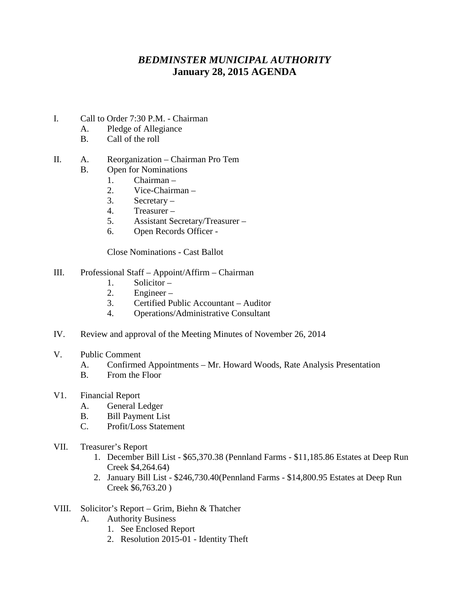## *BEDMINSTER MUNICIPAL AUTHORITY* **January 28, 2015 AGENDA**

- I. Call to Order 7:30 P.M. Chairman
	- A. Pledge of Allegiance
	- B. Call of the roll

## II. A. Reorganization – Chairman Pro Tem

- B. Open for Nominations
	- 1. Chairman –
	- 2. Vice-Chairman –
	- 3. Secretary –
	- 4. Treasurer –
	- 5. Assistant Secretary/Treasurer –
	- 6. Open Records Officer -

Close Nominations - Cast Ballot

## III. Professional Staff – Appoint/Affirm – Chairman

- 1. Solicitor –
- 2. Engineer –
- 3. Certified Public Accountant Auditor
- 4. Operations/Administrative Consultant
- IV. Review and approval of the Meeting Minutes of November 26, 2014
- V. Public Comment
	- A. Confirmed Appointments Mr. Howard Woods, Rate Analysis Presentation
	- B. From the Floor
- V1. Financial Report
	- A. General Ledger
	- B. Bill Payment List
	- C. Profit/Loss Statement
- VII. Treasurer's Report
	- 1. December Bill List \$65,370.38 (Pennland Farms \$11,185.86 Estates at Deep Run Creek \$4,264.64)
	- 2. January Bill List \$246,730.40(Pennland Farms \$14,800.95 Estates at Deep Run Creek \$6,763.20 )
- VIII. Solicitor's Report Grim, Biehn & Thatcher
	- A. Authority Business
		- 1. See Enclosed Report
		- 2. Resolution 2015-01 Identity Theft